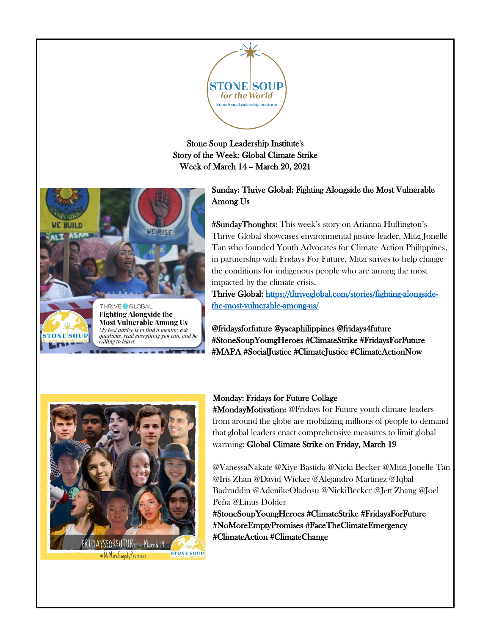

Stone Soup Leadership Institute's Story of the Week: Global Climate Strike Week of March 14 – March 20, 2021



Sunday: Thrive Global: Fighting Alongside the Most Vulnerable Among Us

#SundayThoughts: This week's story on Arianna Huffington's Thrive Global showcases environmental justice leader, Mitzi Jonelle Tan who founded Youth Advocates for Climate Action Philippines, in partnership with Fridays For Future. Mitzi strives to help change the conditions for indigenous people who are among the most impacted by the climate crisis.

Thrive Global: [https://thriveglobal.com/stories/fighting-alongside](https://thriveglobal.com/stories/fighting-alongside-the-most-vulnerable-among-us/)[the-most-vulnerable-among-us/](https://thriveglobal.com/stories/fighting-alongside-the-most-vulnerable-among-us/) 

@fridaysforfuture [@yacaphilippines](https://www.instagram.com/yacaphilippines/) @fridays4future #StoneSoupYoungHeroes #ClimateStrike #FridaysForFuture #MAPA #SocialJustice #ClimateJustice #ClimateActionNow



#### Monday: Fridays for Future Collage

#MondayMotivation: @Fridays for Future youth climate leaders from around the globe are mobilizing millions of people to demand that global leaders enact comprehensive measures to limit global warming: Global Climate Strike on Friday, March 19

@VanessaNakate @Xiye Bastida @Nicki Becker @Mitzi Jonelle Tan @Iris Zhan @David Wicker @Alejandro Martinez @Iqbal Badruddin @AdenikeOladosu @NickiBecker @Jett Zhang @Joel Peña @Linus Dolder

#StoneSoupYoungHeroes #ClimateStrike #FridaysForFuture #NoMoreEmptyPromises #FaceTheClimateEmergency #ClimateAction #ClimateChange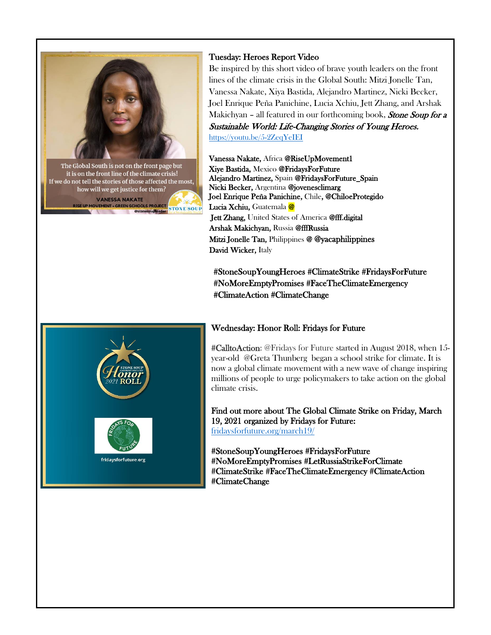

how will we get justice for them? **VANESSA NAKATE ISE UP MOVEMENT . GREEN SCHOOLS PROJECT STONE SOUP** @stonesouplead

#### Tuesday: Heroes Report Video

Be inspired by this short video of brave youth leaders on the front lines of the climate crisis in the Global South: Mitzi Jonelle Tan, Vanessa Nakate, Xiya Bastida, Alejandro Martinez, Nicki Becker, Joel Enrique Peña Panichine, Lucia Xchiu, Jett Zhang, and Arshak Makichyan - all featured in our forthcoming book, Stone Soup for a Sustainable World: Life-Changing Stories of Young Heroes. <https://youtu.be/5-2ZeqYeIEI>

Vanessa Nakate, Africa @RiseUpMovement1 Xiye Bastida, Mexico @FridaysForFuture Alejandro Martinez, Spain @FridaysForFuture\_Spain Nicki Becker, Argentina @jovenesclimarg Joel Enrique Peña Panichine, Chile, @ChiloeProtegido Lucia Xchiu, Guatemala @ Jett Zhang, United States of America @fff.digital Arshak Makichyan, Russia @fffRussia Mitzi Jonelle Tan, Philippines @ [@yacaphilippines](https://www.instagram.com/yacaphilippines/)  David Wicker, Italy

#StoneSoupYoungHeroes #ClimateStrike #FridaysForFuture #NoMoreEmptyPromises #FaceTheClimateEmergency #ClimateAction #ClimateChange



## Wednesday: Honor Roll: Fridays for Future

#CalltoAction: @Fridays for Future started in August 2018, when 15 year-old [@Greta Thunberg](https://twitter.com/gretathunberg) began a school strike for climate. It is now a global climate movement with a new wave of change inspiring millions of people to urge policymakers to take action on the global climate crisis.

Find out more about The Global Climate Strike on Friday, March 19, 2021 organized by Fridays for Future: [fridaysforfuture.org/march19/](https://fridaysforfuture.org/march19/) 

#StoneSoupYoungHeroes #FridaysForFuture #NoMoreEmptyPromises #LetRussiaStrikeForClimate #ClimateStrike #FaceTheClimateEmergency #ClimateAction #ClimateChange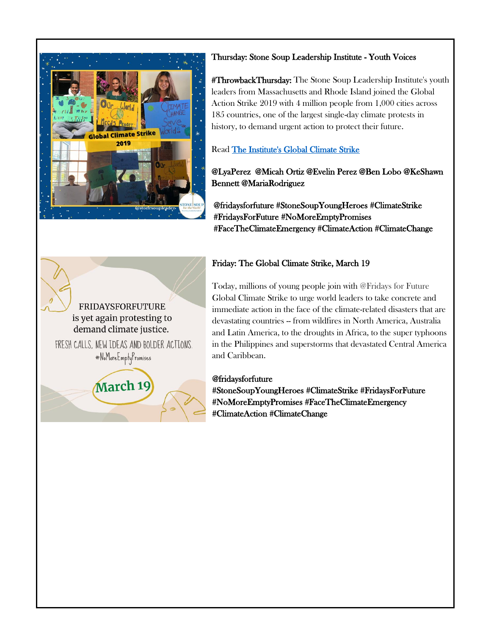

## Thursday: Stone Soup Leadership Institute - Youth Voices

#ThrowbackThursday: The Stone Soup Leadership Institute's youth leaders from Massachusetts and Rhode Island joined the Global Action Strike 2019 with 4 million people from 1,000 cities across 185 countries, one of the largest single-day climate protests in history, to demand urgent action to protect their future.

## Read [The Institute's Global Climate Strike](http://soup4worldinstitute.com/youth-voices-at-global-action-strike/)

## @LyaPerez @Micah Ortiz @Evelin Perez @Ben Lobo @KeShawn Bennett @MariaRodriguez

@fridaysforfuture #StoneSoupYoungHeroes #ClimateStrike #FridaysForFuture #NoMoreEmptyPromises #FaceTheClimateEmergency #ClimateAction #ClimateChange

## Friday: The Global Climate Strike, March 19

Today, millions of young people join with @Fridays for Future Global Climate Strike to urge world leaders to take concrete and immediate action in the face of the climate-related disasters that are devastating countries -- from wildfires in North America, Australia and Latin America, to the droughts in Africa, to the super typhoons in the Philippines and superstorms that devastated Central America and Caribbean.

## @fridaysforfuture

#StoneSoupYoungHeroes #ClimateStrike #FridaysForFuture #NoMoreEmptyPromises #FaceTheClimateEmergency #ClimateAction #ClimateChange

# **FRIDAYSFORFUTURE** is yet again protesting to demand climate justice.

FRESH CALLS. NEW IDEAS AND BOLDER ACTIONS. #NoMoreEmptyPromises